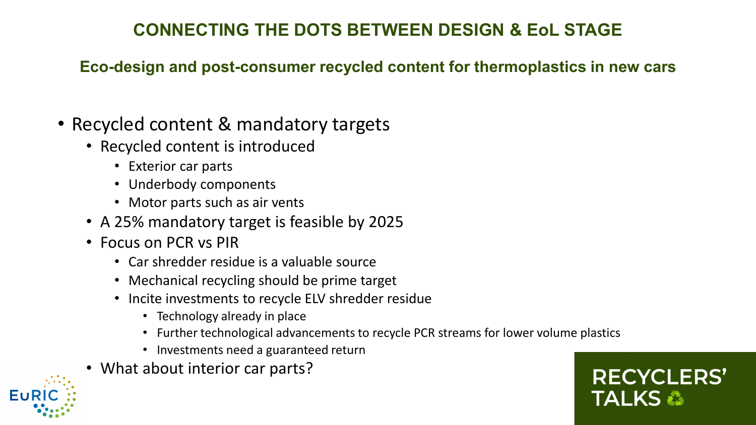## **CONNECTING THE DOTS BETWEEN DESIGN & EoL STAGE**

**Eco-design and post-consumer recycled content for thermoplastics in new cars** 

- Recycled content & mandatory targets
	- Recycled content is introduced
		- Exterior car parts
		- Underbody components
		- Motor parts such as air vents
	- A 25% mandatory target is feasible by 2025
	- Focus on PCR vs PIR
		- Car shredder residue is a valuable source
		- Mechanical recycling should be prime target
		- Incite investments to recycle ELV shredder residue
			- Technology already in place
			- Further technological advancements to recycle PCR streams for lower volume plastics

**RECYCLERS'** 

**TALKS &** 

- Investments need a guaranteed return
- What about interior car parts?